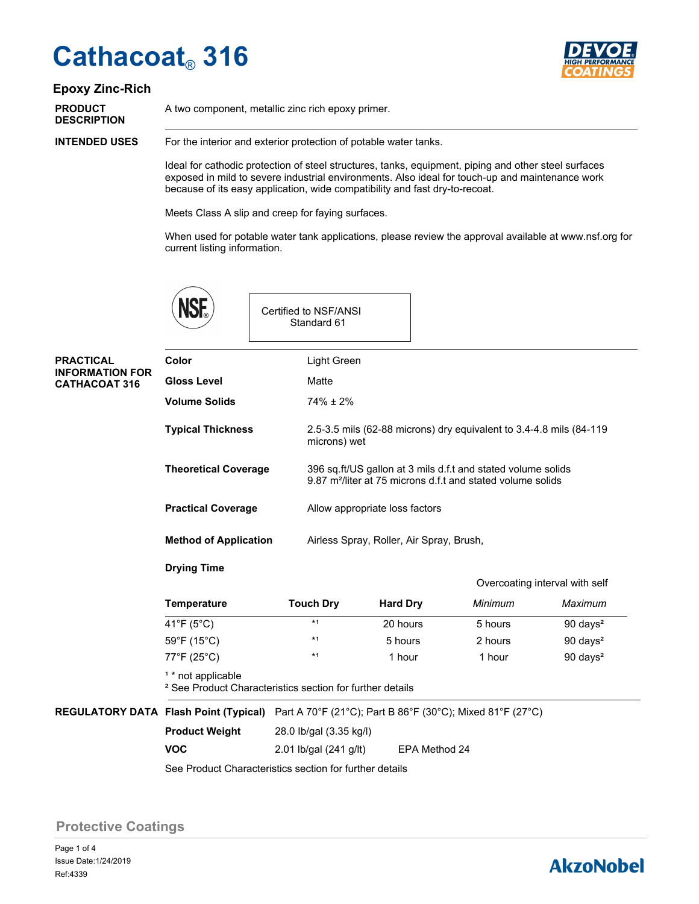# **Cathacoat**® **316**



#### **Epoxy Zinc-Rich**

**DESCRIPTION**

**PRODUCT** A two component, metallic zinc rich epoxy primer.

For the interior and exterior protection of potable water tanks. **INTENDED USES**

> Ideal for cathodic protection of steel structures, tanks, equipment, piping and other steel surfaces exposed in mild to severe industrial environments. Also ideal for touch-up and maintenance work because of its easy application, wide compatibility and fast dry-to-recoat.

Meets Class A slip and creep for faying surfaces.

When used for potable water tank applications, please review the approval available at www.nsf.org for current listing information.

|                                                                    |                                                         |  | Certified to NSF/ANSI<br>Standard 61                                                                                                    |  |  |
|--------------------------------------------------------------------|---------------------------------------------------------|--|-----------------------------------------------------------------------------------------------------------------------------------------|--|--|
| <b>PRACTICAL</b><br><b>INFORMATION FOR</b><br><b>CATHACOAT 316</b> | Color                                                   |  | Light Green                                                                                                                             |  |  |
|                                                                    | <b>Gloss Level</b>                                      |  | Matte                                                                                                                                   |  |  |
|                                                                    | <b>Volume Solids</b>                                    |  | $74\% \pm 2\%$                                                                                                                          |  |  |
|                                                                    | <b>Typical Thickness</b><br><b>Theoretical Coverage</b> |  | 2.5-3.5 mils (62-88 microns) dry equivalent to 3.4-4.8 mils (84-119<br>microns) wet                                                     |  |  |
|                                                                    |                                                         |  | 396 sq.ft/US gallon at 3 mils d.f.t and stated volume solids<br>9.87 m <sup>2</sup> /liter at 75 microns d.f.t and stated volume solids |  |  |
| <b>Practical Coverage</b>                                          |                                                         |  | Allow appropriate loss factors                                                                                                          |  |  |
|                                                                    | <b>Method of Application</b>                            |  | Airless Spray, Roller, Air Spray, Brush,                                                                                                |  |  |

#### **Drying Time**

**VOC**

|                                  |                                                                      |                 |                                                           | Overcoating interval with self |
|----------------------------------|----------------------------------------------------------------------|-----------------|-----------------------------------------------------------|--------------------------------|
| <b>Temperature</b>               | <b>Touch Dry</b>                                                     | <b>Hard Dry</b> | Minimum                                                   | Maximum                        |
| 41°F (5°C)                       | $*1$                                                                 | 20 hours        | 5 hours                                                   | $90 \text{ days}^2$            |
| $59^{\circ}$ F (15 $^{\circ}$ C) | $*1$                                                                 | 5 hours         | 2 hours                                                   | $90 \text{ days}^2$            |
| 77°F (25°C)                      | $*1$                                                                 | 1 hour          | 1 hour                                                    | $90 \text{ days}^2$            |
| <sup>1</sup> * not applicable    | <sup>2</sup> See Product Characteristics section for further details |                 |                                                           |                                |
| <b>Flash Point (Typical)</b>     |                                                                      |                 | Part A 70°F (21°C); Part B 86°F (30°C); Mixed 81°F (27°C) |                                |

28.0 Ib/gal (3.35 kg/l) **Product Weight**

2.01 lb/gal (241 g/lt) EPA Method 24

See Product Characteristics section for further details

**Protective Coatings**

**REGULATORY DATA** 

Page 1 of 4 Ref:4339 Issue Date:1/24/2019

### **AkzoNobel**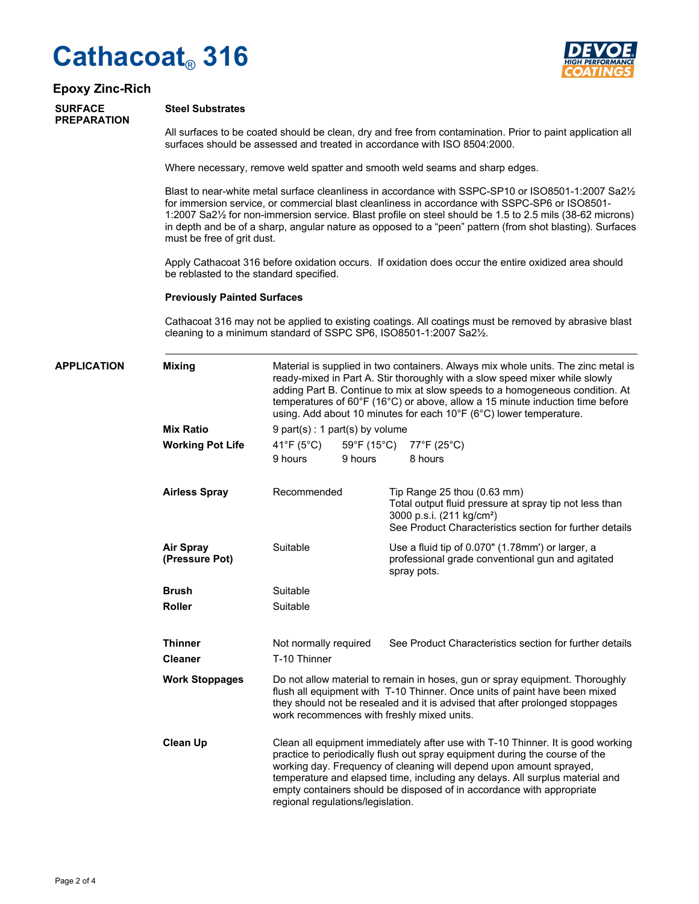## **Cathacoat**® **316**



#### **Epoxy Zinc-Rich**

#### **SURFACE PREPARATION**

**Steel Substrates**

All surfaces to be coated should be clean, dry and free from contamination. Prior to paint application all surfaces should be assessed and treated in accordance with ISO 8504:2000.

Where necessary, remove weld spatter and smooth weld seams and sharp edges.

Blast to near-white metal surface cleanliness in accordance with SSPC-SP10 or ISO8501-1:2007 Sa2½ for immersion service, or commercial blast cleanliness in accordance with SSPC-SP6 or ISO8501- 1:2007 Sa2½ for non-immersion service. Blast profile on steel should be 1.5 to 2.5 mils (38-62 microns) in depth and be of a sharp, angular nature as opposed to a "peen" pattern (from shot blasting). Surfaces must be free of grit dust.

Apply Cathacoat 316 before oxidation occurs. If oxidation does occur the entire oxidized area should be reblasted to the standard specified.

#### **Previously Painted Surfaces**

Cathacoat 316 may not be applied to existing coatings. All coatings must be removed by abrasive blast cleaning to a minimum standard of SSPC SP6, ISO8501-1:2007 Sa2½.

| <b>APPLICATION</b> | <b>Mixing</b>                      | Material is supplied in two containers. Always mix whole units. The zinc metal is<br>ready-mixed in Part A. Stir thoroughly with a slow speed mixer while slowly<br>adding Part B. Continue to mix at slow speeds to a homogeneous condition. At<br>temperatures of 60°F (16°C) or above, allow a 15 minute induction time before<br>using. Add about 10 minutes for each 10°F (6°C) lower temperature.<br>9 part(s) : 1 part(s) by volume |         |                                                                                                                                                                                               |                                                         |
|--------------------|------------------------------------|--------------------------------------------------------------------------------------------------------------------------------------------------------------------------------------------------------------------------------------------------------------------------------------------------------------------------------------------------------------------------------------------------------------------------------------------|---------|-----------------------------------------------------------------------------------------------------------------------------------------------------------------------------------------------|---------------------------------------------------------|
|                    | <b>Mix Ratio</b>                   |                                                                                                                                                                                                                                                                                                                                                                                                                                            |         |                                                                                                                                                                                               |                                                         |
|                    | <b>Working Pot Life</b>            | 41°F (5°C)<br>9 hours                                                                                                                                                                                                                                                                                                                                                                                                                      | 9 hours |                                                                                                                                                                                               | 59°F (15°C) 77°F (25°C)<br>8 hours                      |
|                    | <b>Airless Spray</b>               | Recommended<br>Suitable<br>spray pots.<br>Suitable<br>Suitable                                                                                                                                                                                                                                                                                                                                                                             |         | Tip Range $25$ thou $(0.63$ mm)<br>Total output fluid pressure at spray tip not less than<br>3000 p.s.i. (211 kg/cm <sup>2</sup> )<br>See Product Characteristics section for further details |                                                         |
|                    | <b>Air Spray</b><br>(Pressure Pot) |                                                                                                                                                                                                                                                                                                                                                                                                                                            |         | Use a fluid tip of 0.070" (1.78mm') or larger, a<br>professional grade conventional gun and agitated                                                                                          |                                                         |
|                    | <b>Brush</b>                       |                                                                                                                                                                                                                                                                                                                                                                                                                                            |         |                                                                                                                                                                                               |                                                         |
|                    | <b>Roller</b>                      |                                                                                                                                                                                                                                                                                                                                                                                                                                            |         |                                                                                                                                                                                               |                                                         |
|                    | <b>Thinner</b><br><b>Cleaner</b>   | Not normally required<br>T-10 Thinner                                                                                                                                                                                                                                                                                                                                                                                                      |         |                                                                                                                                                                                               | See Product Characteristics section for further details |
|                    | <b>Work Stoppages</b>              | Do not allow material to remain in hoses, gun or spray equipment. Thoroughly<br>flush all equipment with T-10 Thinner. Once units of paint have been mixed<br>they should not be resealed and it is advised that after prolonged stoppages<br>work recommences with freshly mixed units.                                                                                                                                                   |         |                                                                                                                                                                                               |                                                         |
|                    | <b>Clean Up</b>                    | Clean all equipment immediately after use with T-10 Thinner. It is good working<br>practice to periodically flush out spray equipment during the course of the<br>working day. Frequency of cleaning will depend upon amount sprayed,<br>temperature and elapsed time, including any delays. All surplus material and<br>empty containers should be disposed of in accordance with appropriate<br>regional regulations/legislation.        |         |                                                                                                                                                                                               |                                                         |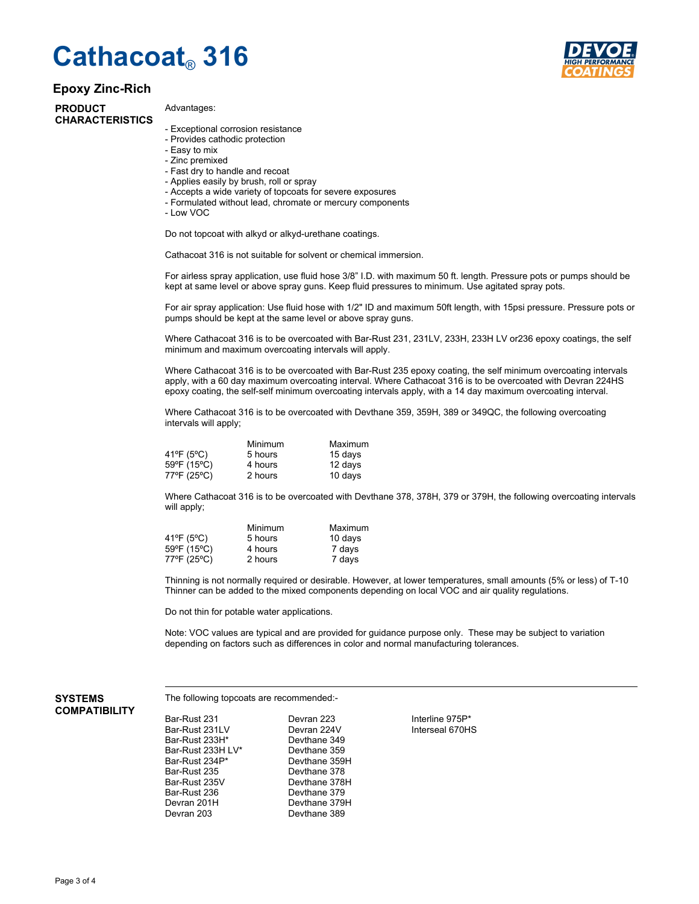### **Cathacoat**® **316**

#### **Epoxy Zinc-Rich**

**PRODUCT CHARACTERISTICS**

#### Advantages:

- Exceptional corrosion resistance
- Provides cathodic protection
- Easy to mix
- Zinc premixed
- Fast dry to handle and recoat
- Applies easily by brush, roll or spray
- Accepts a wide variety of topcoats for severe exposures
- Formulated without lead, chromate or mercury components
- Low VOC

Do not topcoat with alkyd or alkyd-urethane coatings.

Cathacoat 316 is not suitable for solvent or chemical immersion.

For airless spray application, use fluid hose 3/8" I.D. with maximum 50 ft. length. Pressure pots or pumps should be kept at same level or above spray guns. Keep fluid pressures to minimum. Use agitated spray pots.

For air spray application: Use fluid hose with 1/2" ID and maximum 50ft length, with 15psi pressure. Pressure pots or pumps should be kept at the same level or above spray guns.

Where Cathacoat 316 is to be overcoated with Bar-Rust 231, 231LV, 233H, 233H LV or236 epoxy coatings, the self minimum and maximum overcoating intervals will apply.

Where Cathacoat 316 is to be overcoated with Bar-Rust 235 epoxy coating, the self minimum overcoating intervals apply, with a 60 day maximum overcoating interval. Where Cathacoat 316 is to be overcoated with Devran 224HS epoxy coating, the self-self minimum overcoating intervals apply, with a 14 day maximum overcoating interval.

Where Cathacoat 316 is to be overcoated with Devthane 359, 359H, 389 or 349QC, the following overcoating intervals will apply;

|                           | Minimum | Maximum |
|---------------------------|---------|---------|
| $41^{\circ}F(5^{\circ}C)$ | 5 hours | 15 days |
| 59°F (15°C)               | 4 hours | 12 days |
| 77°F (25°C)               | 2 hours | 10 days |

Where Cathacoat 316 is to be overcoated with Devthane 378, 378H, 379 or 379H, the following overcoating intervals will apply;

|             | Minimum | Maximum |
|-------------|---------|---------|
| 41°F (5°C)  | 5 hours | 10 days |
| 59°F (15°C) | 4 hours | 7 days  |
| 77°F (25°C) | 2 hours | 7 days  |

Thinning is not normally required or desirable. However, at lower temperatures, small amounts (5% or less) of T-10 Thinner can be added to the mixed components depending on local VOC and air quality regulations.

Do not thin for potable water applications.

Note: VOC values are typical and are provided for guidance purpose only. These may be subject to variation depending on factors such as differences in color and normal manufacturing tolerances.

#### **SYSTEMS COMPATIBILITY**

The following topcoats are recommended:-

Devthane 378

Devthane 389

Bar-Rust 231 Devran 223 Interline 975P\* Bar-Rust 233H\* Bar-Rust 233H LV\* Devthane 359<br>Bar-Rust 234P\* Devthane 359 Bar-Rust 234P\* Devthane 359H<br>Bar-Rust 235 Devthane 378 Bar-Rust 235V Devthane 378H Bar-Rust 236 Devthane 379<br>Devran 201H Devthane 379 Devran 201H Devthane 379H<br>Devran 203 Devthane 389

Devran 224V Interseal 670HS<br>Devthane 349